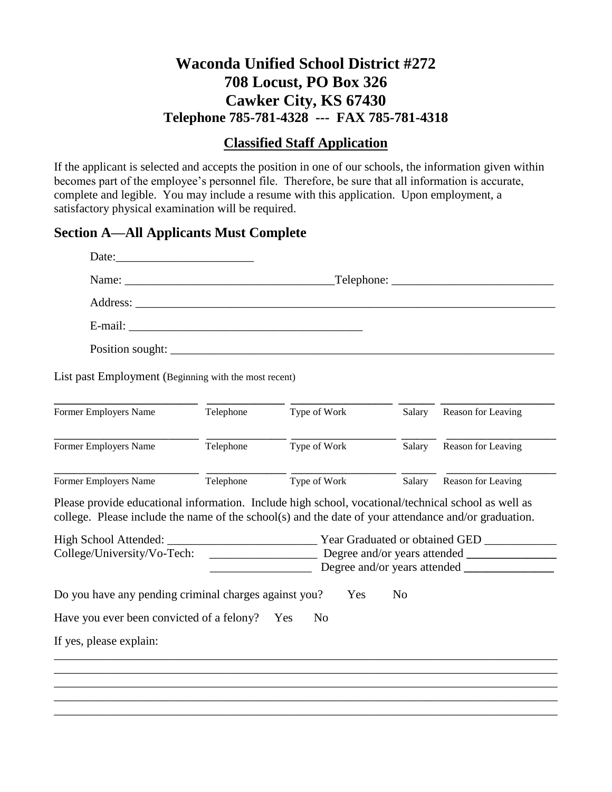## **Waconda Unified School District #272 708 Locust, PO Box 326 Cawker City, KS 67430 Telephone 785-781-4328 --- FAX 785-781-4318**

#### **Classified Staff Application**

If the applicant is selected and accepts the position in one of our schools, the information given within becomes part of the employee's personnel file. Therefore, be sure that all information is accurate, complete and legible. You may include a resume with this application. Upon employment, a satisfactory physical examination will be required.

## **Section A—All Applicants Must Complete**

|                                                                                                                                                                                                             | Date:                    |              |        |                    |  |
|-------------------------------------------------------------------------------------------------------------------------------------------------------------------------------------------------------------|--------------------------|--------------|--------|--------------------|--|
|                                                                                                                                                                                                             | $\Box$ Telephone: $\Box$ |              |        |                    |  |
|                                                                                                                                                                                                             |                          |              |        |                    |  |
|                                                                                                                                                                                                             |                          |              |        |                    |  |
|                                                                                                                                                                                                             |                          |              |        |                    |  |
| List past Employment (Beginning with the most recent)                                                                                                                                                       |                          |              |        |                    |  |
| Former Employers Name                                                                                                                                                                                       | Telephone                | Type of Work | Salary | Reason for Leaving |  |
| <b>Former Employers Name</b>                                                                                                                                                                                | Telephone                | Type of Work | Salary | Reason for Leaving |  |
|                                                                                                                                                                                                             |                          |              |        |                    |  |
| <b>Former Employers Name</b>                                                                                                                                                                                | Telephone                | Type of Work | Salary | Reason for Leaving |  |
| Please provide educational information. Include high school, vocational/technical school as well as<br>college. Please include the name of the school(s) and the date of your attendance and/or graduation. |                          |              |        |                    |  |
|                                                                                                                                                                                                             |                          |              |        |                    |  |
|                                                                                                                                                                                                             |                          |              |        |                    |  |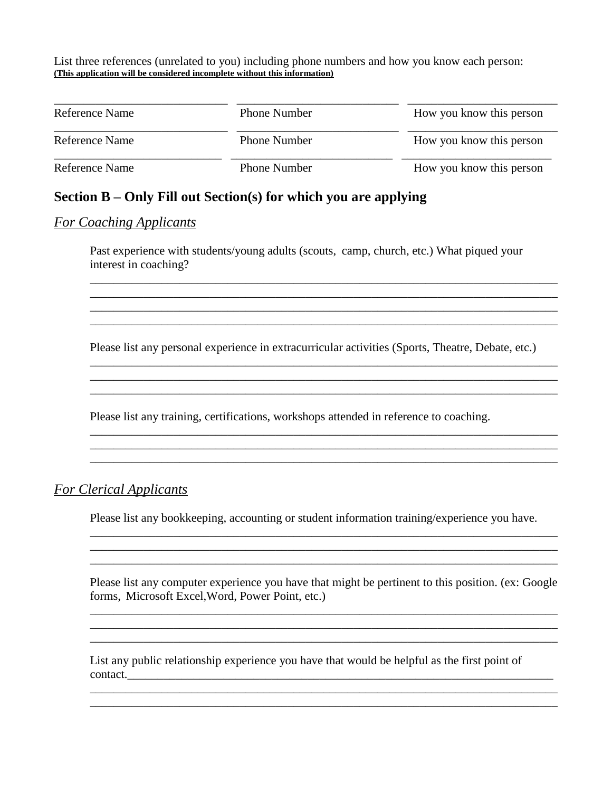List three references (unrelated to you) including phone numbers and how you know each person: **(This application will be considered incomplete without this information)**

| Reference Name | <b>Phone Number</b> | How you know this person |
|----------------|---------------------|--------------------------|
| Reference Name | <b>Phone Number</b> | How you know this person |
| Reference Name | <b>Phone Number</b> | How you know this person |

## **Section B – Only Fill out Section(s) for which you are applying**

#### *For Coaching Applicants*

Past experience with students/young adults (scouts, camp, church, etc.) What piqued your interest in coaching?

\_\_\_\_\_\_\_\_\_\_\_\_\_\_\_\_\_\_\_\_\_\_\_\_\_\_\_\_\_\_\_\_\_\_\_\_\_\_\_\_\_\_\_\_\_\_\_\_\_\_\_\_\_\_\_\_\_\_\_\_\_\_\_\_\_\_\_\_\_\_\_\_\_\_\_\_\_\_ \_\_\_\_\_\_\_\_\_\_\_\_\_\_\_\_\_\_\_\_\_\_\_\_\_\_\_\_\_\_\_\_\_\_\_\_\_\_\_\_\_\_\_\_\_\_\_\_\_\_\_\_\_\_\_\_\_\_\_\_\_\_\_\_\_\_\_\_\_\_\_\_\_\_\_\_\_\_

Please list any personal experience in extracurricular activities (Sports, Theatre, Debate, etc.)

\_\_\_\_\_\_\_\_\_\_\_\_\_\_\_\_\_\_\_\_\_\_\_\_\_\_\_\_\_\_\_\_\_\_\_\_\_\_\_\_\_\_\_\_\_\_\_\_\_\_\_\_\_\_\_\_\_\_\_\_\_\_\_\_\_\_\_\_\_\_\_\_\_\_\_\_\_\_

\_\_\_\_\_\_\_\_\_\_\_\_\_\_\_\_\_\_\_\_\_\_\_\_\_\_\_\_\_\_\_\_\_\_\_\_\_\_\_\_\_\_\_\_\_\_\_\_\_\_\_\_\_\_\_\_\_\_\_\_\_\_\_\_\_\_\_\_\_\_\_\_\_\_\_\_\_\_ \_\_\_\_\_\_\_\_\_\_\_\_\_\_\_\_\_\_\_\_\_\_\_\_\_\_\_\_\_\_\_\_\_\_\_\_\_\_\_\_\_\_\_\_\_\_\_\_\_\_\_\_\_\_\_\_\_\_\_\_\_\_\_\_\_\_\_\_\_\_\_\_\_\_\_\_\_\_ \_\_\_\_\_\_\_\_\_\_\_\_\_\_\_\_\_\_\_\_\_\_\_\_\_\_\_\_\_\_\_\_\_\_\_\_\_\_\_\_\_\_\_\_\_\_\_\_\_\_\_\_\_\_\_\_\_\_\_\_\_\_\_\_\_\_\_\_\_\_\_\_\_\_\_\_\_\_

 $\mathcal{L}_\mathcal{L} = \{ \mathcal{L}_\mathcal{L} = \{ \mathcal{L}_\mathcal{L} = \{ \mathcal{L}_\mathcal{L} = \{ \mathcal{L}_\mathcal{L} = \{ \mathcal{L}_\mathcal{L} = \{ \mathcal{L}_\mathcal{L} = \{ \mathcal{L}_\mathcal{L} = \{ \mathcal{L}_\mathcal{L} = \{ \mathcal{L}_\mathcal{L} = \{ \mathcal{L}_\mathcal{L} = \{ \mathcal{L}_\mathcal{L} = \{ \mathcal{L}_\mathcal{L} = \{ \mathcal{L}_\mathcal{L} = \{ \mathcal{L}_\mathcal{$ 

Please list any training, certifications, workshops attended in reference to coaching.

#### *For Clerical Applicants*

Please list any bookkeeping, accounting or student information training/experience you have.

Please list any computer experience you have that might be pertinent to this position. (ex: Google forms, Microsoft Excel,Word, Power Point, etc.)

\_\_\_\_\_\_\_\_\_\_\_\_\_\_\_\_\_\_\_\_\_\_\_\_\_\_\_\_\_\_\_\_\_\_\_\_\_\_\_\_\_\_\_\_\_\_\_\_\_\_\_\_\_\_\_\_\_\_\_\_\_\_\_\_\_\_\_\_\_\_\_\_\_\_\_\_\_\_

\_\_\_\_\_\_\_\_\_\_\_\_\_\_\_\_\_\_\_\_\_\_\_\_\_\_\_\_\_\_\_\_\_\_\_\_\_\_\_\_\_\_\_\_\_\_\_\_\_\_\_\_\_\_\_\_\_\_\_\_\_\_\_\_\_\_\_\_\_\_\_\_\_\_\_\_\_\_ \_\_\_\_\_\_\_\_\_\_\_\_\_\_\_\_\_\_\_\_\_\_\_\_\_\_\_\_\_\_\_\_\_\_\_\_\_\_\_\_\_\_\_\_\_\_\_\_\_\_\_\_\_\_\_\_\_\_\_\_\_\_\_\_\_\_\_\_\_\_\_\_\_\_\_\_\_\_

 $\mathcal{L}_\text{max}$  , and the set of the set of the set of the set of the set of the set of the set of the set of the set of the set of the set of the set of the set of the set of the set of the set of the set of the set of the

 $\mathcal{L}_\mathcal{L} = \{ \mathcal{L}_\mathcal{L} = \{ \mathcal{L}_\mathcal{L} = \{ \mathcal{L}_\mathcal{L} = \{ \mathcal{L}_\mathcal{L} = \{ \mathcal{L}_\mathcal{L} = \{ \mathcal{L}_\mathcal{L} = \{ \mathcal{L}_\mathcal{L} = \{ \mathcal{L}_\mathcal{L} = \{ \mathcal{L}_\mathcal{L} = \{ \mathcal{L}_\mathcal{L} = \{ \mathcal{L}_\mathcal{L} = \{ \mathcal{L}_\mathcal{L} = \{ \mathcal{L}_\mathcal{L} = \{ \mathcal{L}_\mathcal{$ \_\_\_\_\_\_\_\_\_\_\_\_\_\_\_\_\_\_\_\_\_\_\_\_\_\_\_\_\_\_\_\_\_\_\_\_\_\_\_\_\_\_\_\_\_\_\_\_\_\_\_\_\_\_\_\_\_\_\_\_\_\_\_\_\_\_\_\_\_\_\_\_\_\_\_\_\_\_ \_\_\_\_\_\_\_\_\_\_\_\_\_\_\_\_\_\_\_\_\_\_\_\_\_\_\_\_\_\_\_\_\_\_\_\_\_\_\_\_\_\_\_\_\_\_\_\_\_\_\_\_\_\_\_\_\_\_\_\_\_\_\_\_\_\_\_\_\_\_\_\_\_\_\_\_\_\_

List any public relationship experience you have that would be helpful as the first point of contact.\_\_\_\_\_\_\_\_\_\_\_\_\_\_\_\_\_\_\_\_\_\_\_\_\_\_\_\_\_\_\_\_\_\_\_\_\_\_\_\_\_\_\_\_\_\_\_\_\_\_\_\_\_\_\_\_\_\_\_\_\_\_\_\_\_\_\_\_\_\_\_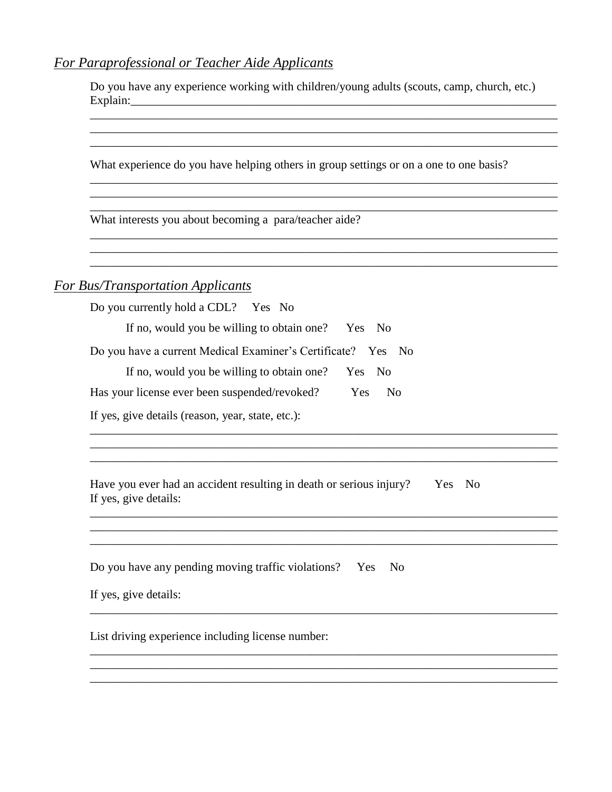### For Paraprofessional or Teacher Aide Applicants

Do you have any experience working with children/young adults (scouts, camp, church, etc.) 

<u> 1989 - Andrea San Andrea San Andrea San Andrea San Andrea San Andrea San Andrea San Andrea San Andrea San Andr</u>

What experience do you have helping others in group settings or on a one to one basis?

<u> 1989 - Johann John Stone, markin sanat masjid asl a shekara ta 1989 - An tsarat masjid asl a shekara ta 198</u>

What interests you about becoming a para/teacher aide?

#### **For Bus/Transportation Applicants**

| Do you currently hold a CDL? Yes No                                           |  |
|-------------------------------------------------------------------------------|--|
| If no, would you be willing to obtain one?<br>Yes No                          |  |
| Do you have a current Medical Examiner's Certificate? Yes No                  |  |
| If no, would you be willing to obtain one?<br>Yes No                          |  |
| Has your license ever been suspended/revoked?<br><b>Yes</b><br>N <sub>0</sub> |  |
|                                                                               |  |

If yes, give details (reason, year, state, etc.):

Have you ever had an accident resulting in death or serious injury? Yes No If yes, give details:

<u> 1989 - Johann Stoff, amerikansk politik (f. 1989)</u>

and the control of the control of the control of the control of the control of the control of the control of the

and the control of the control of the control of the control of the control of the control of the control of the

Do you have any pending moving traffic violations? Yes No

If yes, give details:

List driving experience including license number: